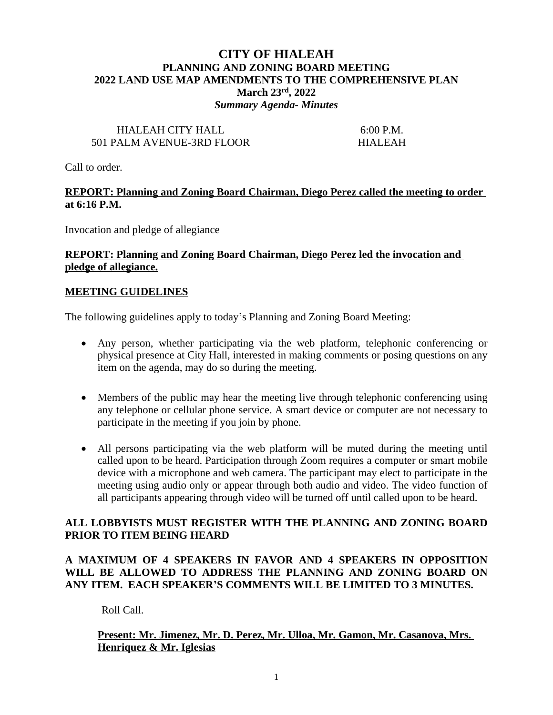# **CITY OF HIALEAH PLANNING AND ZONING BOARD MEETING 2022 LAND USE MAP AMENDMENTS TO THE COMPREHENSIVE PLAN March 23rd, 2022** *Summary Agenda- Minutes*

# HIALEAH CITY HALL 6:00 P.M. 501 PALM AVENUE-3RD FLOOR HIALEAH

Call to order.

## **REPORT: Planning and Zoning Board Chairman, Diego Perez called the meeting to order at 6:16 P.M.**

Invocation and pledge of allegiance

### **REPORT: Planning and Zoning Board Chairman, Diego Perez led the invocation and pledge of allegiance.**

### **MEETING GUIDELINES**

The following guidelines apply to today's Planning and Zoning Board Meeting:

- Any person, whether participating via the web platform, telephonic conferencing or physical presence at City Hall, interested in making comments or posing questions on any item on the agenda, may do so during the meeting.
- Members of the public may hear the meeting live through telephonic conferencing using any telephone or cellular phone service. A smart device or computer are not necessary to participate in the meeting if you join by phone.
- All persons participating via the web platform will be muted during the meeting until called upon to be heard. Participation through Zoom requires a computer or smart mobile device with a microphone and web camera. The participant may elect to participate in the meeting using audio only or appear through both audio and video. The video function of all participants appearing through video will be turned off until called upon to be heard.

### **ALL LOBBYISTS MUST REGISTER WITH THE PLANNING AND ZONING BOARD PRIOR TO ITEM BEING HEARD**

# **A MAXIMUM OF 4 SPEAKERS IN FAVOR AND 4 SPEAKERS IN OPPOSITION WILL BE ALLOWED TO ADDRESS THE PLANNING AND ZONING BOARD ON ANY ITEM. EACH SPEAKER'S COMMENTS WILL BE LIMITED TO 3 MINUTES.**

Roll Call.

# **Present: Mr. Jimenez, Mr. D. Perez, Mr. Ulloa, Mr. Gamon, Mr. Casanova, Mrs. Henriquez & Mr. Iglesias**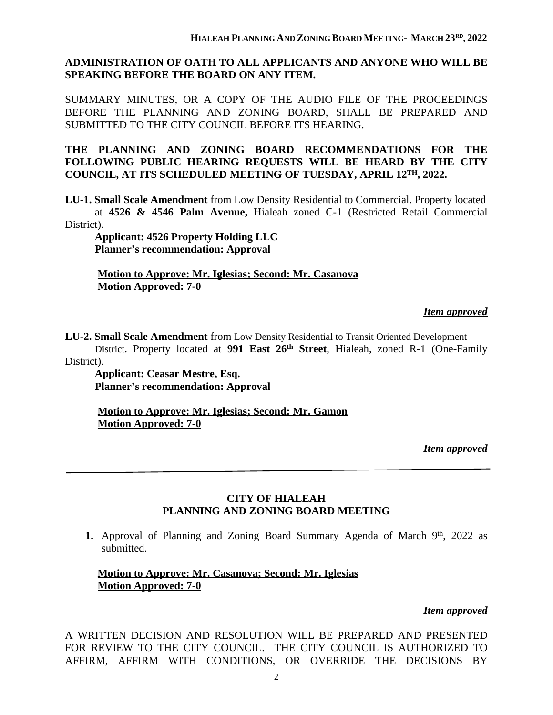### **ADMINISTRATION OF OATH TO ALL APPLICANTS AND ANYONE WHO WILL BE SPEAKING BEFORE THE BOARD ON ANY ITEM.**

SUMMARY MINUTES, OR A COPY OF THE AUDIO FILE OF THE PROCEEDINGS BEFORE THE PLANNING AND ZONING BOARD, SHALL BE PREPARED AND SUBMITTED TO THE CITY COUNCIL BEFORE ITS HEARING.

**THE PLANNING AND ZONING BOARD RECOMMENDATIONS FOR THE FOLLOWING PUBLIC HEARING REQUESTS WILL BE HEARD BY THE CITY COUNCIL, AT ITS SCHEDULED MEETING OF TUESDAY, APRIL 12TH, 2022.**

**LU-1. Small Scale Amendment** from Low Density Residential to Commercial. Property located at **4526 & 4546 Palm Avenue,** Hialeah zoned C-1 (Restricted Retail Commercial District).

 **Applicant: 4526 Property Holding LLC Planner's recommendation: Approval**

**Motion to Approve: Mr. Iglesias; Second: Mr. Casanova Motion Approved: 7-0** 

#### *Item approved*

**LU-2. Small Scale Amendment** from Low Density Residential to Transit Oriented Development District. Property located at **991 East 26th Street**, Hialeah, zoned R-1 (One-Family District).

 **Applicant: Ceasar Mestre, Esq. Planner's recommendation: Approval**

**Motion to Approve: Mr. Iglesias; Second: Mr. Gamon Motion Approved: 7-0**

*Item approved*

### **CITY OF HIALEAH PLANNING AND ZONING BOARD MEETING**

1. Approval of Planning and Zoning Board Summary Agenda of March 9<sup>th</sup>, 2022 as submitted.

# **Motion to Approve: Mr. Casanova; Second: Mr. Iglesias Motion Approved: 7-0**

#### *Item approved*

A WRITTEN DECISION AND RESOLUTION WILL BE PREPARED AND PRESENTED FOR REVIEW TO THE CITY COUNCIL. THE CITY COUNCIL IS AUTHORIZED TO AFFIRM, AFFIRM WITH CONDITIONS, OR OVERRIDE THE DECISIONS BY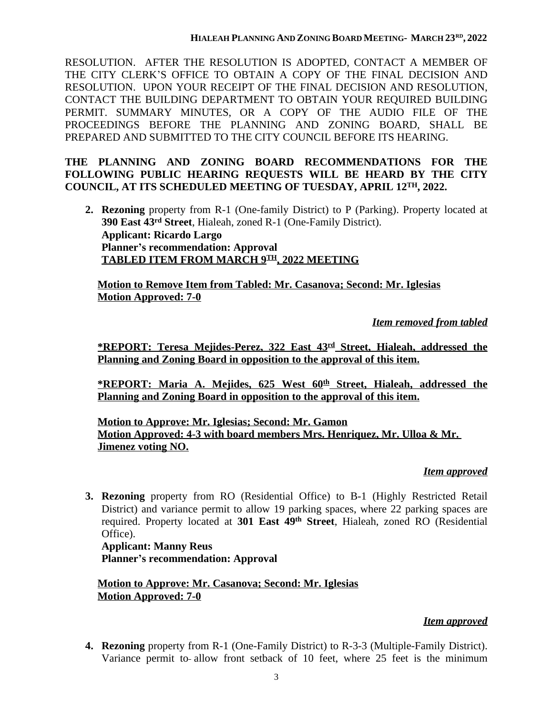RESOLUTION. AFTER THE RESOLUTION IS ADOPTED, CONTACT A MEMBER OF THE CITY CLERK'S OFFICE TO OBTAIN A COPY OF THE FINAL DECISION AND RESOLUTION. UPON YOUR RECEIPT OF THE FINAL DECISION AND RESOLUTION, CONTACT THE BUILDING DEPARTMENT TO OBTAIN YOUR REQUIRED BUILDING PERMIT. SUMMARY MINUTES, OR A COPY OF THE AUDIO FILE OF THE PROCEEDINGS BEFORE THE PLANNING AND ZONING BOARD, SHALL BE PREPARED AND SUBMITTED TO THE CITY COUNCIL BEFORE ITS HEARING.

# **THE PLANNING AND ZONING BOARD RECOMMENDATIONS FOR THE FOLLOWING PUBLIC HEARING REQUESTS WILL BE HEARD BY THE CITY COUNCIL, AT ITS SCHEDULED MEETING OF TUESDAY, APRIL 12TH, 2022.**

**2. Rezoning** property from R-1 (One-family District) to P (Parking). Property located at **390 East 43rd Street**, Hialeah, zoned R-1 (One-Family District). **Applicant: Ricardo Largo Planner's recommendation: Approval TABLED ITEM FROM MARCH 9TH, 2022 MEETING**

**Motion to Remove Item from Tabled: Mr. Casanova; Second: Mr. Iglesias Motion Approved: 7-0**

*Item removed from tabled*

**\*REPORT: Teresa Mejides-Perez, 322 East 43rd Street, Hialeah, addressed the Planning and Zoning Board in opposition to the approval of this item.**

**\*REPORT: Maria A. Mejides, 625 West 60th Street, Hialeah, addressed the Planning and Zoning Board in opposition to the approval of this item.**

**Motion to Approve: Mr. Iglesias; Second: Mr. Gamon Motion Approved: 4-3 with board members Mrs. Henriquez, Mr. Ulloa & Mr. Jimenez voting NO.**

# *Item approved*

**3. Rezoning** property from RO (Residential Office) to B-1 (Highly Restricted Retail District) and variance permit to allow 19 parking spaces, where 22 parking spaces are required. Property located at **301 East 49th Street**, Hialeah, zoned RO (Residential Office).

**Applicant: Manny Reus Planner's recommendation: Approval**

**Motion to Approve: Mr. Casanova; Second: Mr. Iglesias Motion Approved: 7-0**

# *Item approved*

**4. Rezoning** property from R-1 (One-Family District) to R-3-3 (Multiple-Family District). Variance permit to allow front setback of 10 feet, where 25 feet is the minimum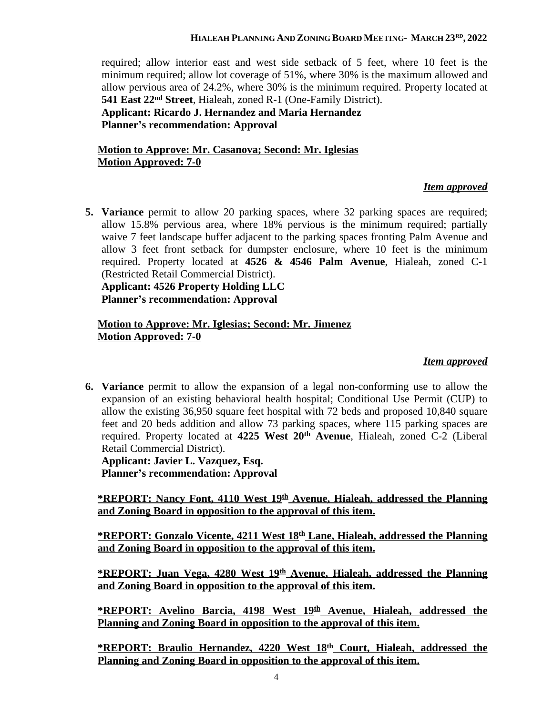#### **HIALEAH PLANNING AND ZONING BOARD MEETING- MARCH 23RD , 2022**

required; allow interior east and west side setback of 5 feet, where 10 feet is the minimum required; allow lot coverage of 51%, where 30% is the maximum allowed and allow pervious area of 24.2%, where 30% is the minimum required. Property located at **541 East 22nd Street**, Hialeah, zoned R-1 (One-Family District). **Applicant: Ricardo J. Hernandez and Maria Hernandez Planner's recommendation: Approval**

# **Motion to Approve: Mr. Casanova; Second: Mr. Iglesias Motion Approved: 7-0**

### *Item approved*

**5. Variance** permit to allow 20 parking spaces, where 32 parking spaces are required; allow 15.8% pervious area, where 18% pervious is the minimum required; partially waive 7 feet landscape buffer adjacent to the parking spaces fronting Palm Avenue and allow 3 feet front setback for dumpster enclosure, where 10 feet is the minimum required. Property located at **4526 & 4546 Palm Avenue**, Hialeah, zoned C-1 (Restricted Retail Commercial District).

**Applicant: 4526 Property Holding LLC Planner's recommendation: Approval**

#### **Motion to Approve: Mr. Iglesias; Second: Mr. Jimenez Motion Approved: 7-0**

#### *Item approved*

**6. Variance** permit to allow the expansion of a legal non-conforming use to allow the expansion of an existing behavioral health hospital; Conditional Use Permit (CUP) to allow the existing 36,950 square feet hospital with 72 beds and proposed 10,840 square feet and 20 beds addition and allow 73 parking spaces, where 115 parking spaces are required. Property located at **4225 West 20th Avenue**, Hialeah, zoned C-2 (Liberal Retail Commercial District).

**Applicant: Javier L. Vazquez, Esq. Planner's recommendation: Approval**

**\*REPORT: Nancy Font, 4110 West 19th Avenue, Hialeah, addressed the Planning and Zoning Board in opposition to the approval of this item.**

**\*REPORT: Gonzalo Vicente, 4211 West 18th Lane, Hialeah, addressed the Planning and Zoning Board in opposition to the approval of this item.**

**\*REPORT: Juan Vega, 4280 West 19th Avenue, Hialeah, addressed the Planning and Zoning Board in opposition to the approval of this item.**

**\*REPORT: Avelino Barcia, 4198 West 19th Avenue, Hialeah, addressed the Planning and Zoning Board in opposition to the approval of this item.**

**\*REPORT: Braulio Hernandez, 4220 West 18th Court, Hialeah, addressed the Planning and Zoning Board in opposition to the approval of this item.**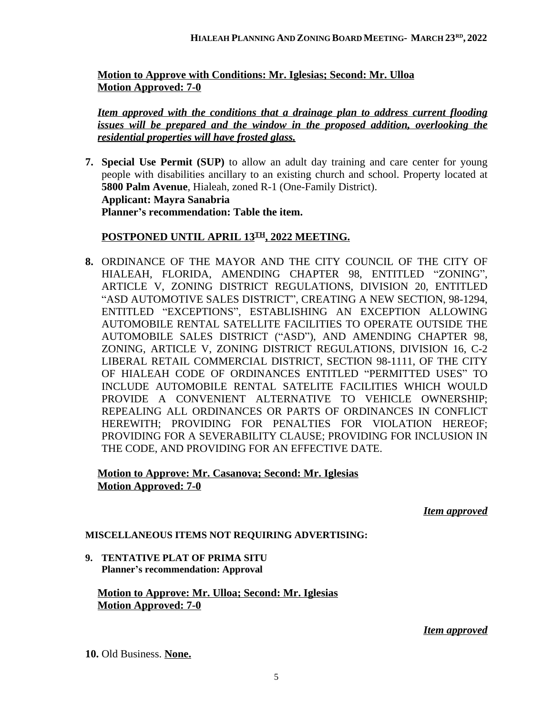**Motion to Approve with Conditions: Mr. Iglesias; Second: Mr. Ulloa Motion Approved: 7-0**

*Item approved with the conditions that a drainage plan to address current flooding issues will be prepared and the window in the proposed addition, overlooking the residential properties will have frosted glass.*

**7. Special Use Permit (SUP)** to allow an adult day training and care center for young people with disabilities ancillary to an existing church and school. Property located at **5800 Palm Avenue**, Hialeah, zoned R-1 (One-Family District). **Applicant: Mayra Sanabria Planner's recommendation: Table the item.**

# **POSTPONED UNTIL APRIL 13TH, 2022 MEETING.**

**8.** ORDINANCE OF THE MAYOR AND THE CITY COUNCIL OF THE CITY OF HIALEAH, FLORIDA, AMENDING CHAPTER 98, ENTITLED "ZONING", ARTICLE V, ZONING DISTRICT REGULATIONS, DIVISION 20, ENTITLED "ASD AUTOMOTIVE SALES DISTRICT", CREATING A NEW SECTION, 98-1294, ENTITLED "EXCEPTIONS", ESTABLISHING AN EXCEPTION ALLOWING AUTOMOBILE RENTAL SATELLITE FACILITIES TO OPERATE OUTSIDE THE AUTOMOBILE SALES DISTRICT ("ASD"), AND AMENDING CHAPTER 98, ZONING, ARTICLE V, ZONING DISTRICT REGULATIONS, DIVISION 16, C-2 LIBERAL RETAIL COMMERCIAL DISTRICT, SECTION 98-1111, OF THE CITY OF HIALEAH CODE OF ORDINANCES ENTITLED "PERMITTED USES" TO INCLUDE AUTOMOBILE RENTAL SATELITE FACILITIES WHICH WOULD PROVIDE A CONVENIENT ALTERNATIVE TO VEHICLE OWNERSHIP; REPEALING ALL ORDINANCES OR PARTS OF ORDINANCES IN CONFLICT HEREWITH; PROVIDING FOR PENALTIES FOR VIOLATION HEREOF; PROVIDING FOR A SEVERABILITY CLAUSE; PROVIDING FOR INCLUSION IN THE CODE, AND PROVIDING FOR AN EFFECTIVE DATE.

# **Motion to Approve: Mr. Casanova; Second: Mr. Iglesias Motion Approved: 7-0**

*Item approved*

# **MISCELLANEOUS ITEMS NOT REQUIRING ADVERTISING:**

**9. TENTATIVE PLAT OF PRIMA SITU Planner's recommendation: Approval**

### **Motion to Approve: Mr. Ulloa; Second: Mr. Iglesias Motion Approved: 7-0**

#### *Item approved*

**10.** Old Business. **None.**